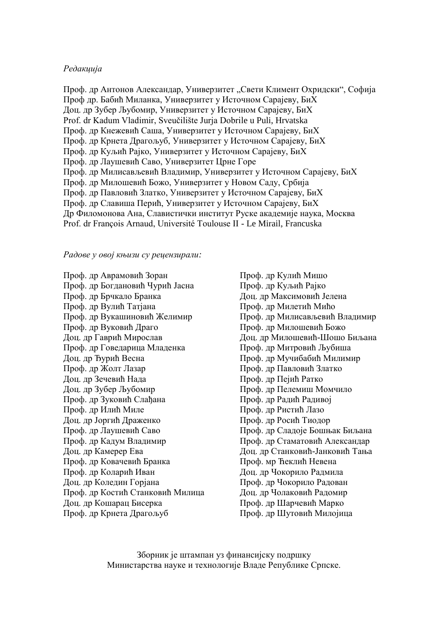#### *Редакција*

Проф. др Антонов Александар, Универзитет "Свети Климент Охридски", Софија Проф др. Бабић Миланка, Универзитет у Источном Сарајеву, БиХ Доц. др Зубер Љубомир, Универзитет у Источном Сарајеву, БиХ Prof. dr Kadum Vladimir, Sveuĉilište Jurja Dobrile u Puli, Hrvatska Проф. др Кнежевић Саша, Универзитет у Источном Сарајеву, БиХ Проф. др Крнета Драгољуб, Универзитет у Источном Сарајеву, БиХ Проф. др Куљић Рајко, Универзитет у Источном Сарајеву, БиХ Проф. др Лаушевић Саво, Универзитет Црне Горе Проф. др Милисављевић Владимир, Универзитет у Источном Сарајеву, БиХ Проф. др Милошевић Божо, Универзитет у Новом Саду, Србија Проф. др Павловић Златко, Универзитет у Источном Сарајеву, БиХ Проф. др Славиша Перић, Универзитет у Источном Сарајеву, БиХ Др Филомонова Ана, Славистички институт Руске академије наука, Москва Prof. dr François Arnaud, Université Toulouse II - Le Mirail, Francuska

*Радове у овој књизи су рецензирали:*

Проф. др Аврамовић Зоран Проф. др Богдановић Чурић Јасна Проф. др Брчкало Бранка Проф. др Вулић Татјана Проф. др Вукашиновић Желимир Проф. др Вуковић Драго Доц. др Гаврић Мирослав Проф. др Говедарица Младенка Доц. др Ђурић Весна Проф. др Жолт Лазар Доц. др Зечевић Нада Доц. др Зубер Љубомир Проф. др Зуковић Слађана Проф. др Илић Миле Доц. др Јоргић Драженко Проф. др Лаушевић Саво Проф. др Кадум Владимир Доц. др Камерер Ева Проф. др Ковачевић Бранка Проф. др Коларић Иван Доц. др Коледин Горјана Проф. др Костић Станковић Милица Доц. др Кошарац Бисерка Проф. др Крнета Драгољуб

Проф. др Кулић Мишо Проф. др Куљић Рајко Доц. др Максимовић Јелена Проф. др Милетић Мићо Проф. др Милисављевић Владимир Проф. др Милошевић Божо Доц. др Милошевић-Шошо Биљана Проф. др Митровић Љубиша Проф. др Мучибабић Милимир Проф. др Павловић Златко Проф. др Пејић Ратко Проф. др Пелемиш Момчило Проф. др Радић Радивој Проф. др Ристић Лазо Проф. др Росић Тиодор Проф. др Сладоје Бошњак Биљана Проф. др Стаматовић Александар Доц. др Станковић-Јанковић Тања Проф. мр Ћеклић Невена Доц. др Чокорило Радмила Проф. др Чокорило Радован Доц. др Чолаковић Радомир Проф. др Шарчевић Марко Проф. др Шутовић Милојица

Зборник је штампан уз финансијску подршку Министарства науке и технологије Владе Републике Српске.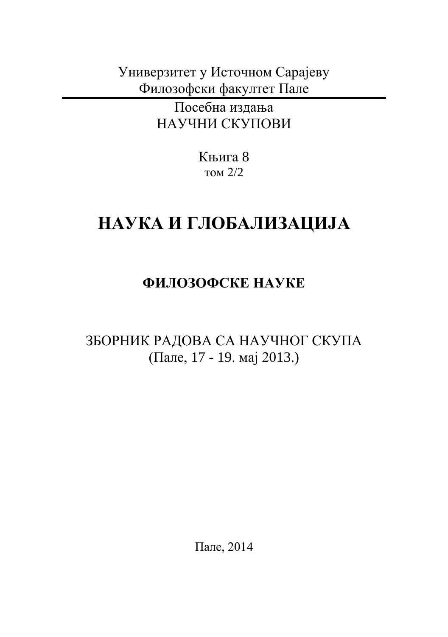Универзитет у Источном Сарајеву Филозофски факултет Пале

> Посебна издања НАУЧНИ СКУПОВИ

> > Књига 8 том 2/2

# **НАУКА И ГЛОБАЛИЗАЦИЈА**

# **ФИЛОЗОФСКЕ НАУКЕ**

ЗБОРНИК РАДОВА СА НАУЧНОГ СКУПА (Пале, 17 - 19. мај 2013.)

Пале, 2014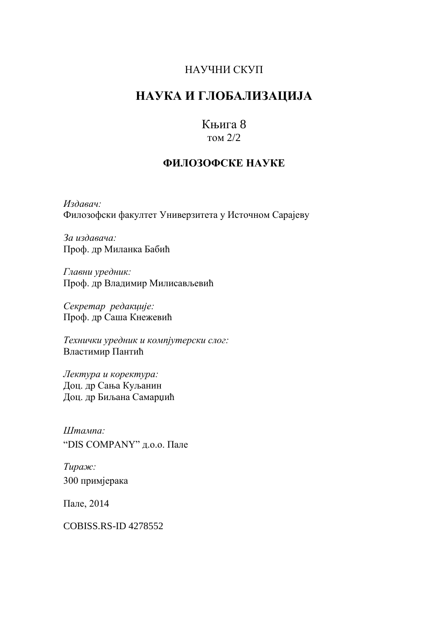#### НАУЧНИ СКУП

# **НАУКА И ГЛОБАЛИЗАЦИЈА**

## Књига 8

#### том 2/2

#### **ФИЛОЗОФСКЕ НАУКЕ**

*Издавач:* Филозофски факултет Универзитета у Источном Сарајеву

*За издавача:* Проф. др Миланка Бабић

*Главни уредник:* Проф. др Владимир Милисављевић

*Секретар редакције:* Проф. др Саша Кнежевић

*Технички уредник и компјутерски слог:* Властимир Пантић

*Лектура и коректура:* Доц. др Сања Куљанин Доц. др Биљана Самарџић

*Штампа:* "DIS COMPANY" д.о.о. Пале

*Тираж:* 300 примјерака

Пале, 2014

COBISS.RS-ID 4278552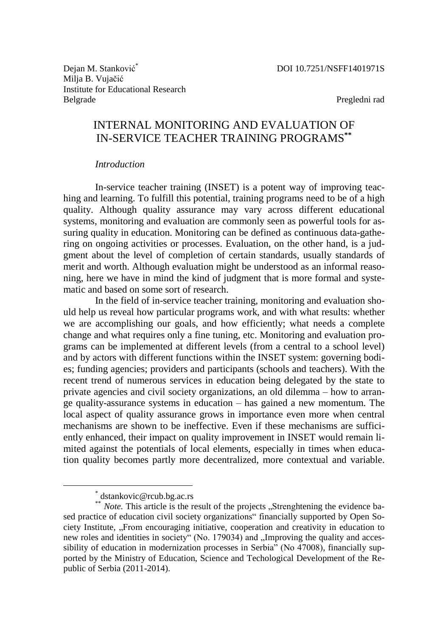Dejan M. Stanković<sup>\*</sup> Milja B. Vujaĉić Institute for Educational Research Belgrade

Pregledni rad

### INTERNAL MONITORING AND EVALUATION OF IN-SERVICE TEACHER TRAINING PROGRAMS**\*\***

#### *Introduction*

In-service teacher training (INSET) is a potent way of improving teaching and learning. To fulfill this potential, training programs need to be of a high quality. Although quality assurance may vary across different educational systems, monitoring and evaluation are commonly seen as powerful tools for assuring quality in education. Monitoring can be defined as continuous data-gathering on ongoing activities or processes. Evaluation, on the other hand, is a judgment about the level of completion of certain standards, usually standards of merit and worth. Although evaluation might be understood as an informal reasoning, here we have in mind the kind of judgment that is more formal and systematic and based on some sort of research.

In the field of in-service teacher training, monitoring and evaluation should help us reveal how particular programs work, and with what results: whether we are accomplishing our goals, and how efficiently; what needs a complete change and what requires only a fine tuning, etc. Monitoring and evaluation programs can be implemented at different levels (from a central to a school level) and by actors with different functions within the INSET system: governing bodies; funding agencies; providers and participants (schools and teachers). With the recent trend of numerous services in education being delegated by the state to private agencies and civil society organizations, an old dilemma – how to arrange quality-assurance systems in education – has gained a new momentum. The local aspect of quality assurance grows in importance even more when central mechanisms are shown to be ineffective. Even if these mechanisms are sufficiently enhanced, their impact on quality improvement in INSET would remain limited against the potentials of local elements, especially in times when education quality becomes partly more decentralized, more contextual and variable.

 $\overline{a}$ 

<sup>\*</sup> dstankovic@rcub.bg.ac.rs

<sup>\*\*</sup> *Note.* This article is the result of the projects "Strenghtening the evidence based practice of education civil society organizations" financially supported by Open Society Institute, "From encouraging initiative, cooperation and creativity in education to new roles and identities in society" (No. 179034) and "Improving the quality and accessibility of education in modernization processes in Serbia<sup>"</sup> (No 47008), financially supported by the Ministry of Education, Science and Techological Development of the Republic of Serbia (2011-2014).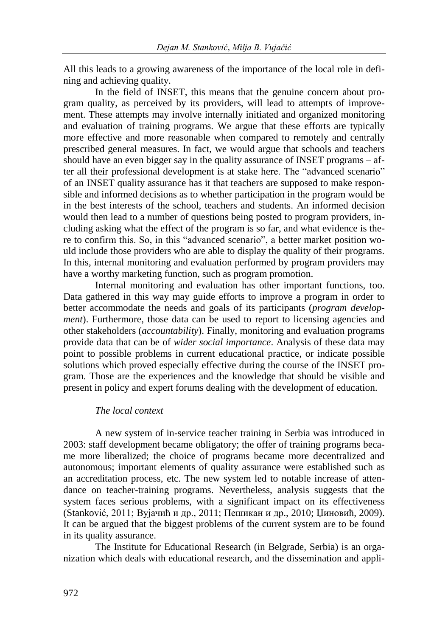All this leads to a growing awareness of the importance of the local role in defining and achieving quality.

In the field of INSET, this means that the genuine concern about program quality, as perceived by its providers, will lead to attempts of improvement. These attempts may involve internally initiated and organized monitoring and evaluation of training programs. We argue that these efforts are typically more effective and more reasonable when compared to remotely and centrally prescribed general measures. In fact, we would argue that schools and teachers should have an even bigger say in the quality assurance of INSET programs – after all their professional development is at stake here. The "advanced scenario" of an INSET quality assurance has it that teachers are supposed to make responsible and informed decisions as to whether participation in the program would be in the best interests of the school, teachers and students. An informed decision would then lead to a number of questions being posted to program providers, including asking what the effect of the program is so far, and what evidence is there to confirm this. So, in this "advanced scenario", a better market position would include those providers who are able to display the quality of their programs. In this, internal monitoring and evaluation performed by program providers may have a worthy marketing function, such as program promotion.

Internal monitoring and evaluation has other important functions, too. Data gathered in this way may guide efforts to improve a program in order to better accommodate the needs and goals of its participants (*program development*). Furthermore, those data can be used to report to licensing agencies and other stakeholders (*accountability*). Finally, monitoring and evaluation programs provide data that can be of *wider social importance*. Analysis of these data may point to possible problems in current educational practice, or indicate possible solutions which proved especially effective during the course of the INSET program. Those are the experiences and the knowledge that should be visible and present in policy and expert forums dealing with the development of education.

#### *The local context*

A new system of in-service teacher training in Serbia was introduced in 2003: staff development became obligatory; the offer of training programs became more liberalized; the choice of programs became more decentralized and autonomous; important elements of quality assurance were established such as an accreditation process, etc. The new system led to notable increase of attendance on teacher-training programs. Nevertheless, analysis suggests that the system faces serious problems, with a significant impact on its effectiveness (Stanković, 2011; Вујачић и др., 2011; Пешикан и др., 2010; Џиновић, 2009). It can be argued that the biggest problems of the current system are to be found in its quality assurance.

The Institute for Educational Research (in Belgrade, Serbia) is an organization which deals with educational research, and the dissemination and appli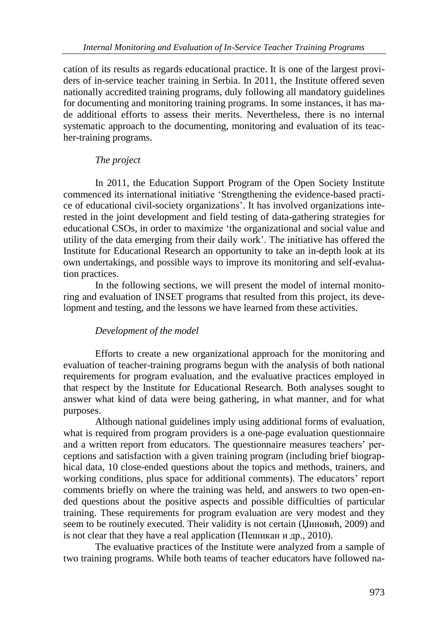cation of its results as regards educational practice. It is one of the largest providers of in-service teacher training in Serbia. In 2011, the Institute offered seven nationally accredited training programs, duly following all mandatory guidelines for documenting and monitoring training programs. In some instances, it has made additional efforts to assess their merits. Nevertheless, there is no internal systematic approach to the documenting, monitoring and evaluation of its teacher-training programs.

#### *The project*

In 2011, the Education Support Program of the Open Society Institute commenced its international initiative 'Strengthening the evidence-based practice of educational civil-society organizations'. It has involved organizations interested in the joint development and field testing of data-gathering strategies for educational CSOs, in order to maximize 'the organizational and social value and utility of the data emerging from their daily work'. The initiative has offered the Institute for Educational Research an opportunity to take an in-depth look at its own undertakings, and possible ways to improve its monitoring and self-evaluation practices.

In the following sections, we will present the model of internal monitoring and evaluation of INSET programs that resulted from this project, its development and testing, and the lessons we have learned from these activities.

#### *Development of the model*

Efforts to create a new organizational approach for the monitoring and evaluation of teacher-training programs begun with the analysis of both national requirements for program evaluation, and the evaluative practices employed in that respect by the Institute for Educational Research. Both analyses sought to answer what kind of data were being gathering, in what manner, and for what purposes.

Although national guidelines imply using additional forms of evaluation, what is required from program providers is a one-page evaluation questionnaire and a written report from educators. The questionnaire measures teachers' perceptions and satisfaction with a given training program (including brief biographical data, 10 close-ended questions about the topics and methods, trainers, and working conditions, plus space for additional comments). The educators' report comments briefly on where the training was held, and answers to two open-ended questions about the positive aspects and possible difficulties of particular training. These requirements for program evaluation are very modest and they seem to be routinely executed. Their validity is not certain (Џиновић, 2009) and is not clear that they have a real application (Пешикан и др., 2010).

The evaluative practices of the Institute were analyzed from a sample of two training programs. While both teams of teacher educators have followed na-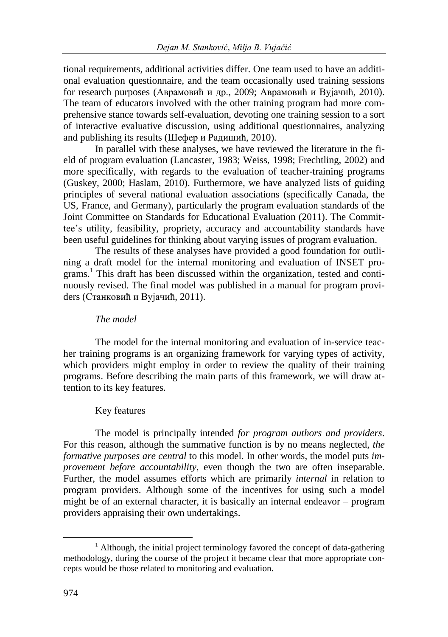tional requirements, additional activities differ. One team used to have an additional evaluation questionnaire, and the team occasionally used training sessions for research purposes (Аврамовић и др., 2009; Аврамовић и Вујачић, 2010). The team of educators involved with the other training program had more comprehensive stance towards self-evaluation, devoting one training session to a sort of interactive evaluative discussion, using additional questionnaires, analyzing and publishing its results (Шефер и Радишић, 2010).

In parallel with these analyses, we have reviewed the literature in the field of program evaluation (Lancaster, 1983; Weiss, 1998; Frechtling, 2002) and more specifically, with regards to the evaluation of teacher-training programs (Guskey, 2000; Haslam, 2010). Furthermore, we have analyzed lists of guiding principles of several national evaluation associations (specifically Canada, the US, France, and Germany), particularly the program evaluation standards of the Joint Committee on Standards for Educational Evaluation (2011). The Committee's utility, feasibility, propriety, accuracy and accountability standards have been useful guidelines for thinking about varying issues of program evaluation.

The results of these analyses have provided a good foundation for outlining a draft model for the internal monitoring and evaluation of INSET programs.<sup>1</sup> This draft has been discussed within the organization, tested and continuously revised. The final model was published in a manual for program providers (Станковић и Вујачић, 2011).

#### *The model*

The model for the internal monitoring and evaluation of in-service teacher training programs is an organizing framework for varying types of activity, which providers might employ in order to review the quality of their training programs. Before describing the main parts of this framework, we will draw attention to its key features.

#### Key features

The model is principally intended *for program authors and providers*. For this reason, although the summative function is by no means neglected, *the formative purposes are central* to this model. In other words, the model puts *improvement before accountability*, even though the two are often inseparable. Further, the model assumes efforts which are primarily *internal* in relation to program providers. Although some of the incentives for using such a model might be of an external character, it is basically an internal endeavor – program providers appraising their own undertakings.

 $\overline{a}$ 

 $1$  Although, the initial project terminology favored the concept of data-gathering methodology, during the course of the project it became clear that more appropriate concepts would be those related to monitoring and evaluation.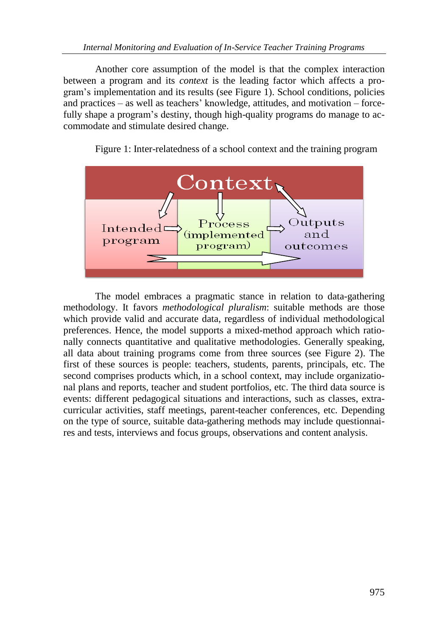Another core assumption of the model is that the complex interaction between a program and its *context* is the leading factor which affects a program's implementation and its results (see Figure 1). School conditions, policies and practices – as well as teachers' knowledge, attitudes, and motivation – forcefully shape a program's destiny, though high-quality programs do manage to accommodate and stimulate desired change.



Figure 1: Inter-relatedness of a school context and the training program

The model embraces a pragmatic stance in relation to data-gathering methodology. It favors *methodological pluralism*: suitable methods are those which provide valid and accurate data, regardless of individual methodological preferences. Hence, the model supports a mixed-method approach which rationally connects quantitative and qualitative methodologies. Generally speaking, all data about training programs come from three sources (see Figure 2). The first of these sources is people: teachers, students, parents, principals, etc. The second comprises products which, in a school context, may include organizational plans and reports, teacher and student portfolios, etc. The third data source is events: different pedagogical situations and interactions, such as classes, extracurricular activities, staff meetings, parent-teacher conferences, etc. Depending on the type of source, suitable data-gathering methods may include questionnaires and tests, interviews and focus groups, observations and content analysis.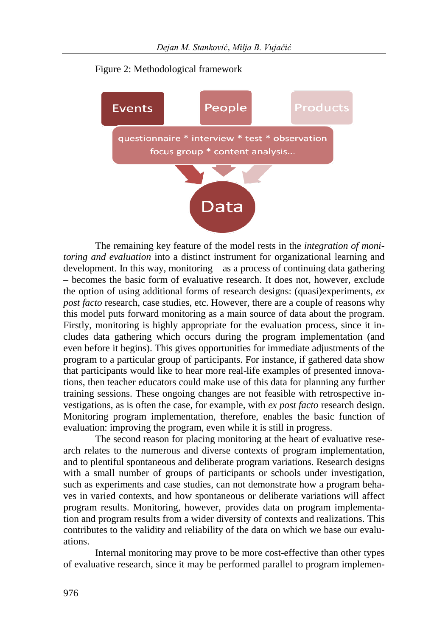



The remaining key feature of the model rests in the *integration of monitoring and evaluation* into a distinct instrument for organizational learning and development. In this way, monitoring – as a process of continuing data gathering – becomes the basic form of evaluative research. It does not, however, exclude the option of using additional forms of research designs: (quasi)experiments, *ex post facto* research, case studies, etc. However, there are a couple of reasons why this model puts forward monitoring as a main source of data about the program. Firstly, monitoring is highly appropriate for the evaluation process, since it includes data gathering which occurs during the program implementation (and even before it begins). This gives opportunities for immediate adjustments of the program to a particular group of participants. For instance, if gathered data show that participants would like to hear more real-life examples of presented innovations, then teacher educators could make use of this data for planning any further training sessions. These ongoing changes are not feasible with retrospective investigations, as is often the case, for example, with *ex post facto* research design. Monitoring program implementation, therefore, enables the basic function of evaluation: improving the program, even while it is still in progress.

The second reason for placing monitoring at the heart of evaluative research relates to the numerous and diverse contexts of program implementation, and to plentiful spontaneous and deliberate program variations. Research designs with a small number of groups of participants or schools under investigation, such as experiments and case studies, can not demonstrate how a program behaves in varied contexts, and how spontaneous or deliberate variations will affect program results. Monitoring, however, provides data on program implementation and program results from a wider diversity of contexts and realizations. This contributes to the validity and reliability of the data on which we base our evaluations.

Internal monitoring may prove to be more cost-effective than other types of evaluative research, since it may be performed parallel to program implemen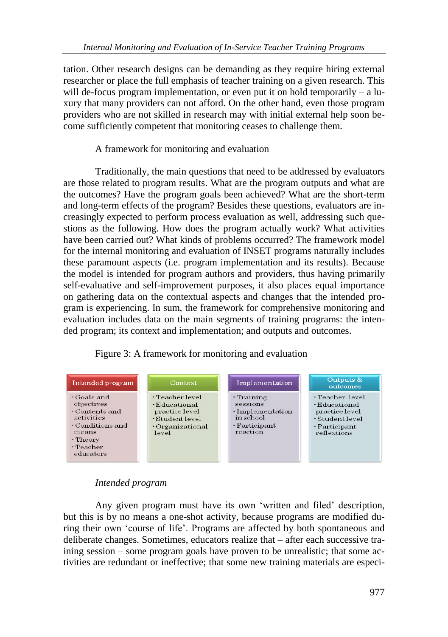tation. Other research designs can be demanding as they require hiring external researcher or place the full emphasis of teacher training on a given research. This will de-focus program implementation, or even put it on hold temporarily – a luxury that many providers can not afford. On the other hand, even those program providers who are not skilled in research may with initial external help soon become sufficiently competent that monitoring ceases to challenge them.

#### A framework for monitoring and evaluation

Traditionally, the main questions that need to be addressed by evaluators are those related to program results. What are the program outputs and what are the outcomes? Have the program goals been achieved? What are the short-term and long-term effects of the program? Besides these questions, evaluators are increasingly expected to perform process evaluation as well, addressing such questions as the following. How does the program actually work? What activities have been carried out? What kinds of problems occurred? The framework model for the internal monitoring and evaluation of INSET programs naturally includes these paramount aspects (i.e. program implementation and its results). Because the model is intended for program authors and providers, thus having primarily self-evaluative and self-improvement purposes, it also places equal importance on gathering data on the contextual aspects and changes that the intended program is experiencing. In sum, the framework for comprehensive monitoring and evaluation includes data on the main segments of training programs: the intended program; its context and implementation; and outputs and outcomes.

Figure 3: A framework for monitoring and evaluation



#### *Intended program*

Any given program must have its own 'written and filed' description, but this is by no means a one-shot activity, because programs are modified during their own ‗course of life'. Programs are affected by both spontaneous and deliberate changes. Sometimes, educators realize that – after each successive training session – some program goals have proven to be unrealistic; that some activities are redundant or ineffective; that some new training materials are especi-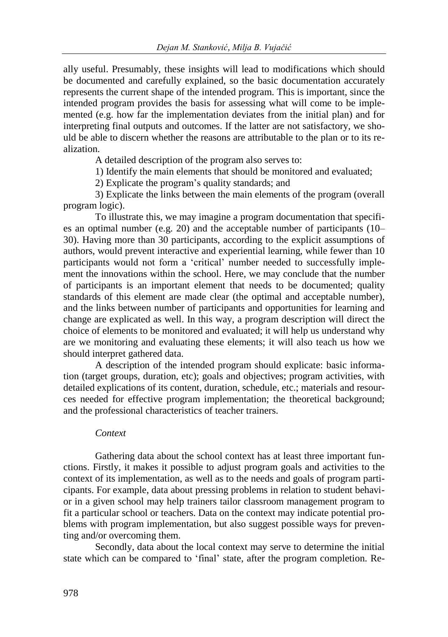ally useful. Presumably, these insights will lead to modifications which should be documented and carefully explained, so the basic documentation accurately represents the current shape of the intended program. This is important, since the intended program provides the basis for assessing what will come to be implemented (e.g. how far the implementation deviates from the initial plan) and for interpreting final outputs and outcomes. If the latter are not satisfactory, we should be able to discern whether the reasons are attributable to the plan or to its realization.

A detailed description of the program also serves to:

1) Identify the main elements that should be monitored and evaluated;

2) Explicate the program's quality standards; and

3) Explicate the links between the main elements of the program (overall program logic).

To illustrate this, we may imagine a program documentation that specifies an optimal number (e.g. 20) and the acceptable number of participants (10– 30). Having more than 30 participants, according to the explicit assumptions of authors, would prevent interactive and experiential learning, while fewer than 10 participants would not form a 'critical' number needed to successfully implement the innovations within the school. Here, we may conclude that the number of participants is an important element that needs to be documented; quality standards of this element are made clear (the optimal and acceptable number), and the links between number of participants and opportunities for learning and change are explicated as well. In this way, a program description will direct the choice of elements to be monitored and evaluated; it will help us understand why are we monitoring and evaluating these elements; it will also teach us how we should interpret gathered data.

A description of the intended program should explicate: basic information (target groups, duration, etc); goals and objectives; program activities, with detailed explications of its content, duration, schedule, etc.; materials and resources needed for effective program implementation; the theoretical background; and the professional characteristics of teacher trainers.

#### *Context*

Gathering data about the school context has at least three important functions. Firstly, it makes it possible to adjust program goals and activities to the context of its implementation, as well as to the needs and goals of program participants. For example, data about pressing problems in relation to student behavior in a given school may help trainers tailor classroom management program to fit a particular school or teachers. Data on the context may indicate potential problems with program implementation, but also suggest possible ways for preventing and/or overcoming them.

Secondly, data about the local context may serve to determine the initial state which can be compared to 'final' state, after the program completion. Re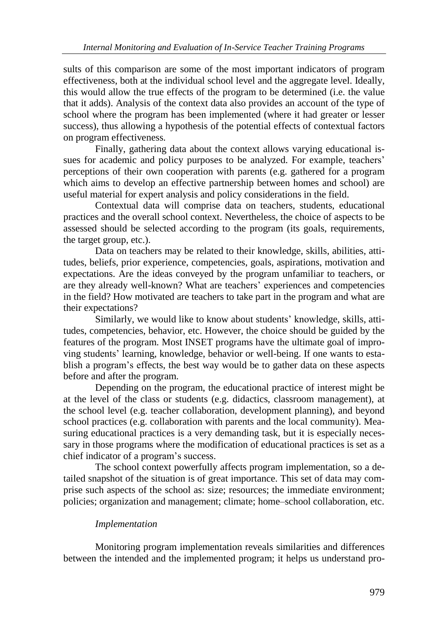sults of this comparison are some of the most important indicators of program effectiveness, both at the individual school level and the aggregate level. Ideally, this would allow the true effects of the program to be determined (i.e. the value that it adds). Analysis of the context data also provides an account of the type of school where the program has been implemented (where it had greater or lesser success), thus allowing a hypothesis of the potential effects of contextual factors on program effectiveness.

Finally, gathering data about the context allows varying educational issues for academic and policy purposes to be analyzed. For example, teachers' perceptions of their own cooperation with parents (e.g. gathered for a program which aims to develop an effective partnership between homes and school) are useful material for expert analysis and policy considerations in the field.

Contextual data will comprise data on teachers, students, educational practices and the overall school context. Nevertheless, the choice of aspects to be assessed should be selected according to the program (its goals, requirements, the target group, etc.).

Data on teachers may be related to their knowledge, skills, abilities, attitudes, beliefs, prior experience, competencies, goals, aspirations, motivation and expectations. Are the ideas conveyed by the program unfamiliar to teachers, or are they already well-known? What are teachers' experiences and competencies in the field? How motivated are teachers to take part in the program and what are their expectations?

Similarly, we would like to know about students' knowledge, skills, attitudes, competencies, behavior, etc. However, the choice should be guided by the features of the program. Most INSET programs have the ultimate goal of improving students' learning, knowledge, behavior or well-being. If one wants to establish a program's effects, the best way would be to gather data on these aspects before and after the program.

Depending on the program, the educational practice of interest might be at the level of the class or students (e.g. didactics, classroom management), at the school level (e.g. teacher collaboration, development planning), and beyond school practices (e.g. collaboration with parents and the local community). Measuring educational practices is a very demanding task, but it is especially necessary in those programs where the modification of educational practices is set as a chief indicator of a program's success.

The school context powerfully affects program implementation, so a detailed snapshot of the situation is of great importance. This set of data may comprise such aspects of the school as: size; resources; the immediate environment; policies; organization and management; climate; home–school collaboration, etc.

#### *Implementation*

Monitoring program implementation reveals similarities and differences between the intended and the implemented program; it helps us understand pro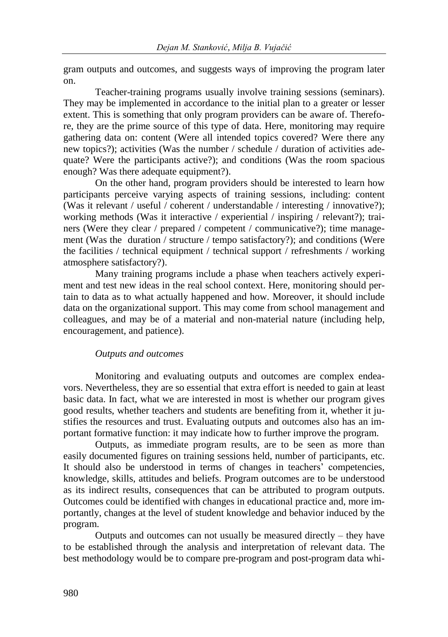gram outputs and outcomes, and suggests ways of improving the program later on.

Teacher-training programs usually involve training sessions (seminars). They may be implemented in accordance to the initial plan to a greater or lesser extent. This is something that only program providers can be aware of. Therefore, they are the prime source of this type of data. Here, monitoring may require gathering data on: content (Were all intended topics covered? Were there any new topics?); activities (Was the number / schedule / duration of activities adequate? Were the participants active?); and conditions (Was the room spacious enough? Was there adequate equipment?).

On the other hand, program providers should be interested to learn how participants perceive varying aspects of training sessions, including: content (Was it relevant / useful / coherent / understandable / interesting / innovative?); working methods (Was it interactive / experiential / inspiring / relevant?); trainers (Were they clear / prepared / competent / communicative?); time management (Was the duration / structure / tempo satisfactory?); and conditions (Were the facilities / technical equipment / technical support / refreshments / working atmosphere satisfactory?).

Many training programs include a phase when teachers actively experiment and test new ideas in the real school context. Here, monitoring should pertain to data as to what actually happened and how. Moreover, it should include data on the organizational support. This may come from school management and colleagues, and may be of a material and non-material nature (including help, encouragement, and patience).

#### *Outputs and outcomes*

Monitoring and evaluating outputs and outcomes are complex endeavors. Nevertheless, they are so essential that extra effort is needed to gain at least basic data. In fact, what we are interested in most is whether our program gives good results, whether teachers and students are benefiting from it, whether it justifies the resources and trust. Evaluating outputs and outcomes also has an important formative function: it may indicate how to further improve the program.

Outputs, as immediate program results, are to be seen as more than easily documented figures on training sessions held, number of participants, etc. It should also be understood in terms of changes in teachers' competencies, knowledge, skills, attitudes and beliefs. Program outcomes are to be understood as its indirect results, consequences that can be attributed to program outputs. Outcomes could be identified with changes in educational practice and, more importantly, changes at the level of student knowledge and behavior induced by the program.

Outputs and outcomes can not usually be measured directly – they have to be established through the analysis and interpretation of relevant data. The best methodology would be to compare pre-program and post-program data whi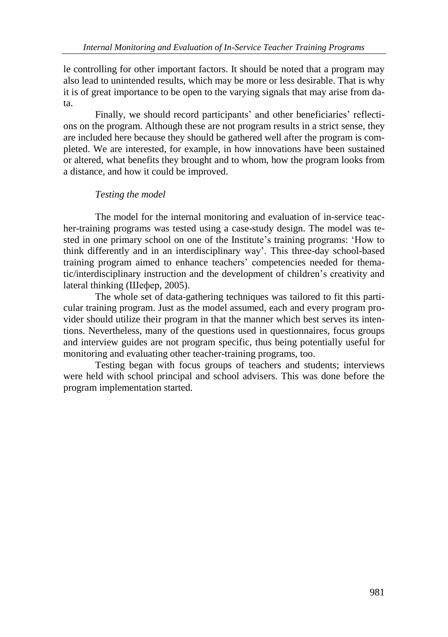le controlling for other important factors. It should be noted that a program may also lead to unintended results, which may be more or less desirable. That is why it is of great importance to be open to the varying signals that may arise from data.

Finally, we should record participants' and other beneficiaries' reflections on the program. Although these are not program results in a strict sense, they are included here because they should be gathered well after the program is completed. We are interested, for example, in how innovations have been sustained or altered, what benefits they brought and to whom, how the program looks from a distance, and how it could be improved.

#### *Testing the model*

The model for the internal monitoring and evaluation of in-service teacher-training programs was tested using a case-study design. The model was tested in one primary school on one of the Institute's training programs: 'How to think differently and in an interdisciplinary way'. This three-day school-based training program aimed to enhance teachers' competencies needed for thematic/interdisciplinary instruction and the development of children's creativity and lateral thinking (Шефер, 2005).

The whole set of data-gathering techniques was tailored to fit this particular training program. Just as the model assumed, each and every program provider should utilize their program in that the manner which best serves its intentions. Nevertheless, many of the questions used in questionnaires, focus groups and interview guides are not program specific, thus being potentially useful for monitoring and evaluating other teacher-training programs, too.

Testing began with focus groups of teachers and students; interviews were held with school principal and school advisers. This was done before the program implementation started.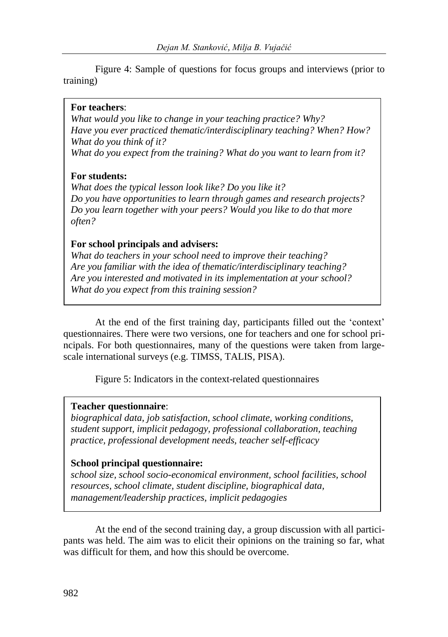Figure 4: Sample of questions for focus groups and interviews (prior to training)

#### **For teachers**:

*What would you like to change in your teaching practice? Why? Have you ever practiced thematic/interdisciplinary teaching? When? How? What do you think of it? What do you expect from the training? What do you want to learn from it?*

#### **For students:**

*What does the typical lesson look like? Do you like it? Do you have opportunities to learn through games and research projects? Do you learn together with your peers? Would you like to do that more often?*

#### **For school principals and advisers:**

*What do teachers in your school need to improve their teaching? Are you familiar with the idea of thematic/interdisciplinary teaching? Are you interested and motivated in its implementation at your school? What do you expect from this training session?* 

At the end of the first training day, participants filled out the 'context' questionnaires. There were two versions, one for teachers and one for school principals. For both questionnaires, many of the questions were taken from largescale international surveys (e.g. TIMSS, TALIS, PISA).

Figure 5: Indicators in the context-related questionnaires

#### **Teacher questionnaire**:

*biographical data, job satisfaction, school climate, working conditions, student support, implicit pedagogy, professional collaboration, teaching practice, professional development needs, teacher self-efficacy*

#### **School principal questionnaire:**

*school size, school socio-economical environment, school facilities, school resources, school climate, student discipline, biographical data, management/leadership practices, implicit pedagogies*

At the end of the second training day, a group discussion with all participants was held. The aim was to elicit their opinions on the training so far, what was difficult for them, and how this should be overcome.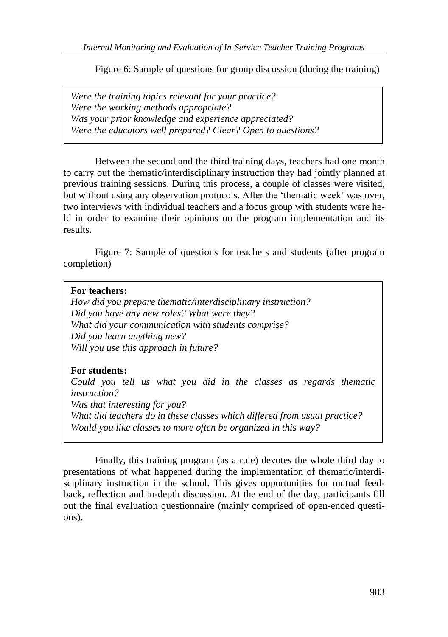Figure 6: Sample of questions for group discussion (during the training)

*Were the training topics relevant for your practice? Were the working methods appropriate? Was your prior knowledge and experience appreciated? Were the educators well prepared? Clear? Open to questions?* 

Between the second and the third training days, teachers had one month to carry out the thematic/interdisciplinary instruction they had jointly planned at previous training sessions. During this process, a couple of classes were visited, but without using any observation protocols. After the 'thematic week' was over, two interviews with individual teachers and a focus group with students were held in order to examine their opinions on the program implementation and its results.

Figure 7: Sample of questions for teachers and students (after program completion)

#### **For teachers:**

*How did you prepare thematic/interdisciplinary instruction? Did you have any new roles? What were they? What did your communication with students comprise? Did you learn anything new? Will you use this approach in future?*

#### **For students:**

*Could you tell us what you did in the classes as regards thematic instruction? Was that interesting for you? What did teachers do in these classes which differed from usual practice? Would you like classes to more often be organized in this way?*

Finally, this training program (as a rule) devotes the whole third day to presentations of what happened during the implementation of thematic/interdisciplinary instruction in the school. This gives opportunities for mutual feedback, reflection and in-depth discussion. At the end of the day, participants fill out the final evaluation questionnaire (mainly comprised of open-ended questions).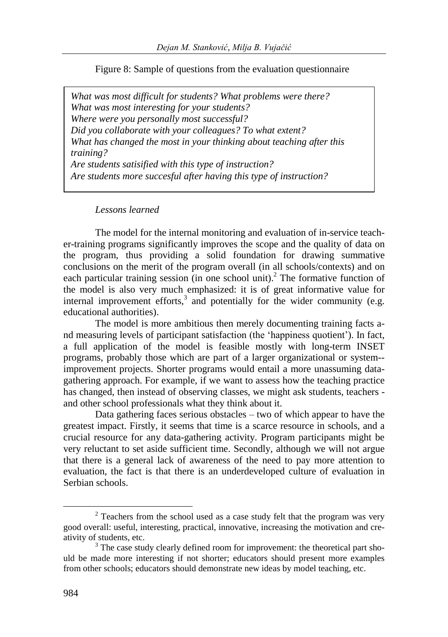Figure 8: Sample of questions from the evaluation questionnaire

*What was most difficult for students? What problems were there? What was most interesting for your students? Where were you personally most successful? Did you collaborate with your colleagues? To what extent? What has changed the most in your thinking about teaching after this training? Are students satisified with this type of instruction? Are students more succesful after having this type of instruction?*

#### *Lessons learned*

The model for the internal monitoring and evaluation of in-service teacher-training programs significantly improves the scope and the quality of data on the program, thus providing a solid foundation for drawing summative conclusions on the merit of the program overall (in all schools/contexts) and on each particular training session (in one school unit).<sup>2</sup> The formative function of the model is also very much emphasized: it is of great informative value for internal improvement efforts, $3$  and potentially for the wider community (e.g. educational authorities).

The model is more ambitious then merely documenting training facts and measuring levels of participant satisfaction (the 'happiness quotient'). In fact, a full application of the model is feasible mostly with long-term INSET programs, probably those which are part of a larger organizational or system- improvement projects. Shorter programs would entail a more unassuming datagathering approach. For example, if we want to assess how the teaching practice has changed, then instead of observing classes, we might ask students, teachers and other school professionals what they think about it.

Data gathering faces serious obstacles – two of which appear to have the greatest impact. Firstly, it seems that time is a scarce resource in schools, and a crucial resource for any data-gathering activity. Program participants might be very reluctant to set aside sufficient time. Secondly, although we will not argue that there is a general lack of awareness of the need to pay more attention to evaluation, the fact is that there is an underdeveloped culture of evaluation in Serbian schools.

 $\overline{a}$ 

 $2$  Teachers from the school used as a case study felt that the program was very good overall: useful, interesting, practical, innovative, increasing the motivation and creativity of students, etc.

 $3$  The case study clearly defined room for improvement: the theoretical part should be made more interesting if not shorter; educators should present more examples from other schools; educators should demonstrate new ideas by model teaching, etc.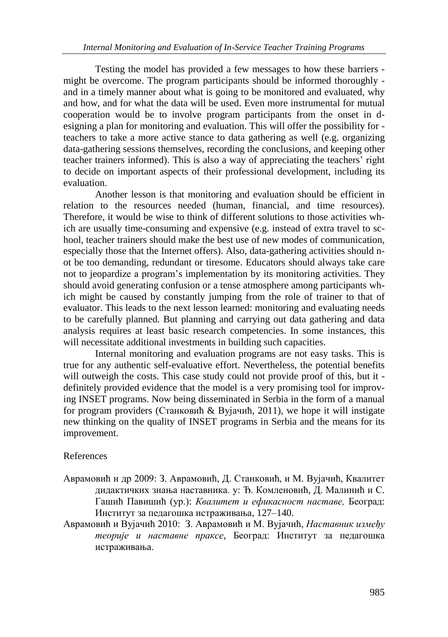Testing the model has provided a few messages to how these barriers might be overcome. The program participants should be informed thoroughly and in a timely manner about what is going to be monitored and evaluated, why and how, and for what the data will be used. Even more instrumental for mutual cooperation would be to involve program participants from the onset in designing a plan for monitoring and evaluation. This will offer the possibility for teachers to take a more active stance to data gathering as well (e.g. organizing data-gathering sessions themselves, recording the conclusions, and keeping other teacher trainers informed). This is also a way of appreciating the teachers' right to decide on important aspects of their professional development, including its evaluation.

Another lesson is that monitoring and evaluation should be efficient in relation to the resources needed (human, financial, and time resources). Therefore, it would be wise to think of different solutions to those activities which are usually time-consuming and expensive (e.g. instead of extra travel to school, teacher trainers should make the best use of new modes of communication, especially those that the Internet offers). Also, data-gathering activities should not be too demanding, redundant or tiresome. Educators should always take care not to jeopardize a program's implementation by its monitoring activities. They should avoid generating confusion or a tense atmosphere among participants which might be caused by constantly jumping from the role of trainer to that of evaluator. This leads to the next lesson learned: monitoring and evaluating needs to be carefully planned. But planning and carrying out data gathering and data analysis requires at least basic research competencies. In some instances, this will necessitate additional investments in building such capacities.

Internal monitoring and evaluation programs are not easy tasks. This is true for any authentic self-evaluative effort. Nevertheless, the potential benefits will outweigh the costs. This case study could not provide proof of this, but it definitely provided evidence that the model is a very promising tool for improving INSET programs. Now being disseminated in Serbia in the form of a manual for program providers (Станковић & Вујачић, 2011), we hope it will instigate new thinking on the quality of INSET programs in Serbia and the means for its improvement.

#### References

- Аврамовић и др 2009: З. Аврамовић, Д. Станковић, и М. Вујачић, Квалитет дидактичких знања наставника. у: Ђ. Комленовић, Д. Малинић и С. Гашић Павишић (ур.): *Квалитет и ефикасност наставе,* Београд: Институт за педагошка истраживања, 127–140.
- Аврамовић и Вујачић 2010: З. Аврамовић и М. Вујачић, *Наставник између теорије и наставне праксе*, Београд: Институт за педагошка истраживања.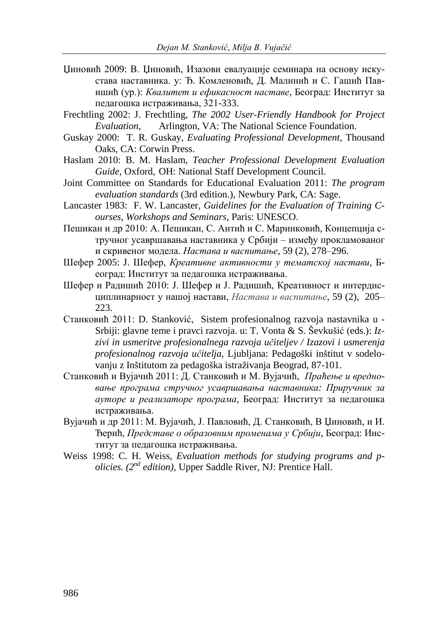- Џиновић 2009: В. Џиновић, Изазови евалуације семинара на основу искустава наставника. у: Ђ. Комленовић, Д. Малинић и С. Гашић Павишић (ур.): *Квалитет и ефикасност наставе*, Београд: Институт за педагошка истраживања, 321-333.
- Frechtling 2002: J. Frechtling, *The 2002 User-Friendly Handbook for Project Evaluation*, Arlington, VA: The National Science Foundation.
- Guskay 2000: T. R. Guskay, *Evaluating Professional Development*, Thousand Oaks, CA: Corwin Press.
- Haslam 2010: B. M. Haslam, *Teacher Professional Development Evaluation Guide,* Oxford, OH: National Staff Development Council.
- Joint Committee on Standards for Educational Evaluation 2011: *The program evaluation standards* (3rd edition.), Newbury Park, CA: Sage.
- Lancaster 1983: F. W. Lancaster, *Guidelines for the Evaluation of Training Courses, Workshops and Seminars*, Paris: UNESCO.
- Пешикан и др 2010: А. Пешикан, С. Антић и С. Маринковић, Концепција стручног усавршавања наставника у Србији – између прокламованог и скривеног модела. *Настава и васпитање*, 59 (2), 278–296.
- Шефер 2005: Ј. Шефер, *Креативне активности у тематској настави*, Београд: Институт за педагошка истраживања.
- Шефер и Радишић 2010: Ј. Шефер и Ј. Радишић, Креативност и интердисциплинарност у нашој настави, *Настава и васпитање*, 59 (2), 205– 223.
- Станковић 2011: D. Stanković, Sistem profesionalnog razvoja nastavnika u Srbiji: glavne teme i pravci razvoja. u: T. Vonta & S. Ševkušić (eds.): *Izzivi in usmeritve profesionalnega razvoja učiteljev / Izazovi i usmerenja profesionalnog razvoja učitelja,* Ljubljana: Pedagoški inštitut v sodelovanju z Inštitutom za pedagoška istraživanja Beograd, 87-101.
- Станковић и Вујачић 2011: Д. Станковић и М. Вујачић, *Праћење и вредновање програма стручног усавршавања наставника: Приручник за ауторе и реализаторе програма*, Београд: Институт за педагошка истраживања.
- Вујачић и др 2011: М. Вујачић, Ј. Павловић, Д. Станковић, В Џиновић, и И. Ђерић, *Представе о образовним променама у Србији*, Београд: Институт за педагошка истраживања.
- Weiss 1998: C. H. Weiss, *Evaluation methods for studying programs and policies. (2nd edition),* Upper Saddle River, NJ: Prentice Hall.